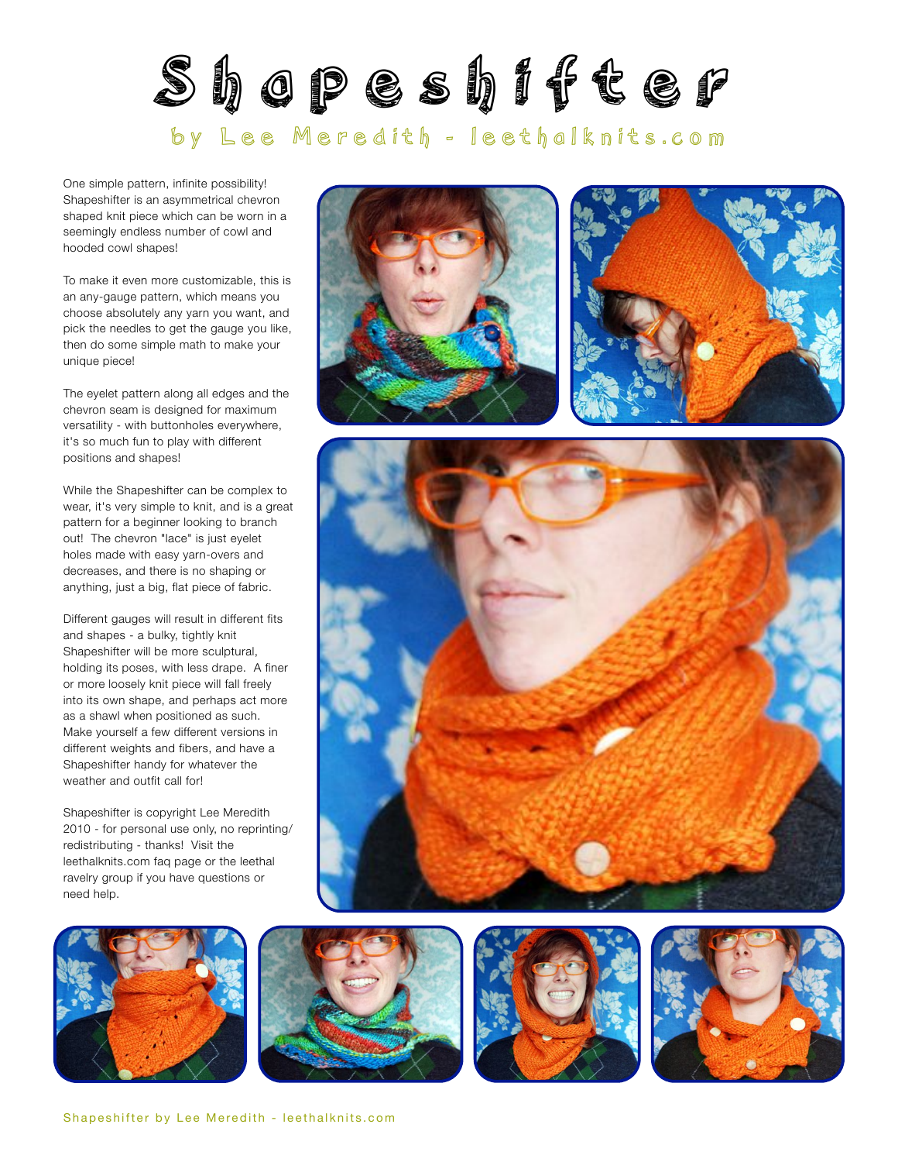

One simple pattern, infinite possibility! Shapeshifter is an asymmetrical chevron shaped knit piece which can be worn in a seemingly endless number of cowl and hooded cowl shapes!

To make it even more customizable, this is an any-gauge pattern, which means you choose absolutely any yarn you want, and pick the needles to get the gauge you like, then do some simple math to make your unique piece!

The eyelet pattern along all edges and the chevron seam is designed for maximum versatility - with buttonholes everywhere, it's so much fun to play with different positions and shapes!

While the Shapeshifter can be complex to wear, it's very simple to knit, and is a great pattern for a beginner looking to branch out! The chevron "lace" is just eyelet holes made with easy yarn-overs and decreases, and there is no shaping or anything, just a big, flat piece of fabric.

Different gauges will result in different fits and shapes - a bulky, tightly knit Shapeshifter will be more sculptural, holding its poses, with less drape. A finer or more loosely knit piece will fall freely into its own shape, and perhaps act more as a shawl when positioned as such. Make yourself a few different versions in different weights and fibers, and have a Shapeshifter handy for whatever the weather and outfit call for!

Shapeshifter is copyright Lee Meredith 2010 - for personal use only, no reprinting/ redistributing - thanks! Visit the leethalknits.com [faq page](http://www.leethalknits.com/faq.html) or the leethal [ravelry group](http://www.ravelry.com/groups/leethal-knitters) if you have questions or need help.